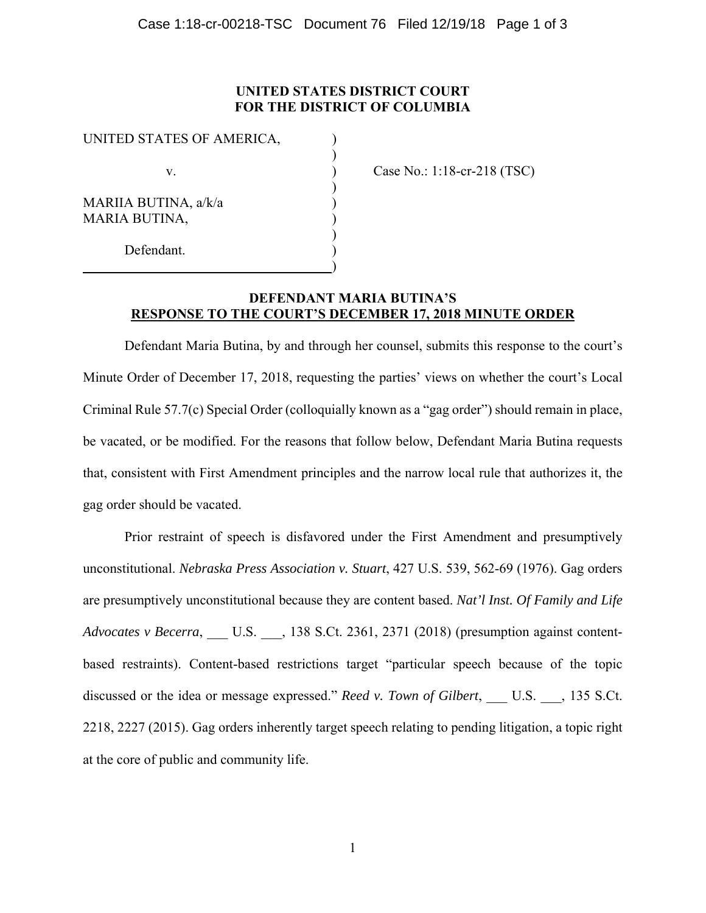## **UNITED STATES DISTRICT COURT FOR THE DISTRICT OF COLUMBIA**

| UNITED STATES OF AMERICA, |  |
|---------------------------|--|
|                           |  |
| V.                        |  |
|                           |  |
| MARIIA BUTINA, a/k/a      |  |
| <b>MARIA BUTINA,</b>      |  |
|                           |  |
| Defendant.                |  |
|                           |  |

Case No.: 1:18-cr-218 (TSC)

## **DEFENDANT MARIA BUTINA'S RESPONSE TO THE COURT'S DECEMBER 17, 2018 MINUTE ORDER**

 Defendant Maria Butina, by and through her counsel, submits this response to the court's Minute Order of December 17, 2018, requesting the parties' views on whether the court's Local Criminal Rule 57.7(c) Special Order (colloquially known as a "gag order") should remain in place, be vacated, or be modified. For the reasons that follow below, Defendant Maria Butina requests that, consistent with First Amendment principles and the narrow local rule that authorizes it, the gag order should be vacated.

 Prior restraint of speech is disfavored under the First Amendment and presumptively unconstitutional. *Nebraska Press Association v. Stuart*, 427 U.S. 539, 562-69 (1976). Gag orders are presumptively unconstitutional because they are content based. *Nat'l Inst. Of Family and Life Advocates v Becerra*, \_\_\_ U.S. \_\_\_, 138 S.Ct. 2361, 2371 (2018) (presumption against contentbased restraints). Content-based restrictions target "particular speech because of the topic discussed or the idea or message expressed." *Reed v. Town of Gilbert*, \_\_\_ U.S. \_\_\_, 135 S.Ct. 2218, 2227 (2015). Gag orders inherently target speech relating to pending litigation, a topic right at the core of public and community life.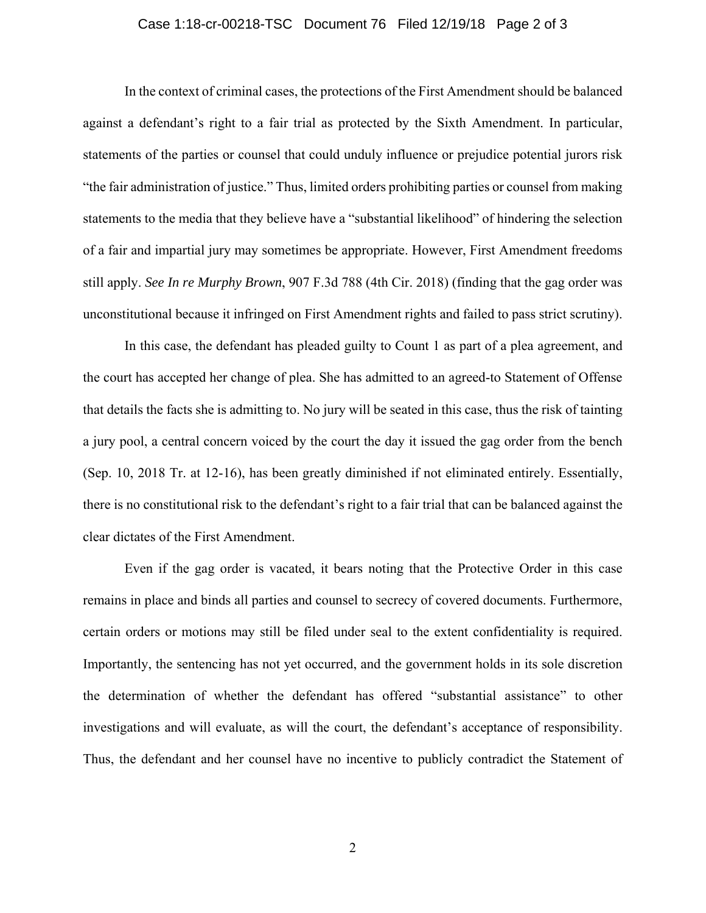## Case 1:18-cr-00218-TSC Document 76 Filed 12/19/18 Page 2 of 3

 In the context of criminal cases, the protections of the First Amendment should be balanced against a defendant's right to a fair trial as protected by the Sixth Amendment. In particular, statements of the parties or counsel that could unduly influence or prejudice potential jurors risk "the fair administration of justice." Thus, limited orders prohibiting parties or counsel from making statements to the media that they believe have a "substantial likelihood" of hindering the selection of a fair and impartial jury may sometimes be appropriate. However, First Amendment freedoms still apply. *See In re Murphy Brown*, 907 F.3d 788 (4th Cir. 2018) (finding that the gag order was unconstitutional because it infringed on First Amendment rights and failed to pass strict scrutiny).

 In this case, the defendant has pleaded guilty to Count 1 as part of a plea agreement, and the court has accepted her change of plea. She has admitted to an agreed-to Statement of Offense that details the facts she is admitting to. No jury will be seated in this case, thus the risk of tainting a jury pool, a central concern voiced by the court the day it issued the gag order from the bench (Sep. 10, 2018 Tr. at 12-16), has been greatly diminished if not eliminated entirely. Essentially, there is no constitutional risk to the defendant's right to a fair trial that can be balanced against the clear dictates of the First Amendment.

 Even if the gag order is vacated, it bears noting that the Protective Order in this case remains in place and binds all parties and counsel to secrecy of covered documents. Furthermore, certain orders or motions may still be filed under seal to the extent confidentiality is required. Importantly, the sentencing has not yet occurred, and the government holds in its sole discretion the determination of whether the defendant has offered "substantial assistance" to other investigations and will evaluate, as will the court, the defendant's acceptance of responsibility. Thus, the defendant and her counsel have no incentive to publicly contradict the Statement of